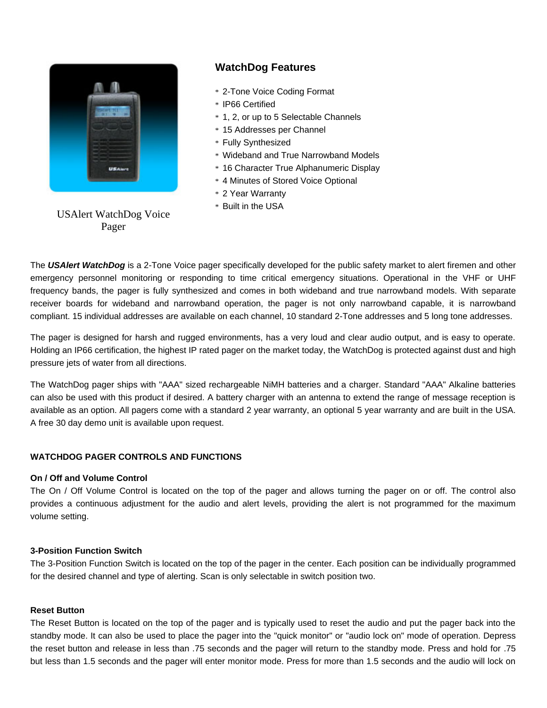

# **WatchDog Features**

- \* 2-Tone Voice Coding Format
- \* IP66 Certified
- \* 1, 2, or up to 5 Selectable Channels
- \* 15 Addresses per Channel
- \* Fully Synthesized
- \* Wideband and True Narrowband Models
- \* 16 Character True Alphanumeric Display
- \* 4 Minutes of Stored Voice Optional
- \* 2 Year Warranty
- \* Built in the USA

USAlert WatchDog Voice Pager

The *USAlert WatchDog* is a 2-Tone Voice pager specifically developed for the public safety market to alert firemen and other emergency personnel monitoring or responding to time critical emergency situations. Operational in the VHF or UHF frequency bands, the pager is fully synthesized and comes in both wideband and true narrowband models. With separate receiver boards for wideband and narrowband operation, the pager is not only narrowband capable, it is narrowband compliant. 15 individual addresses are available on each channel, 10 standard 2-Tone addresses and 5 long tone addresses.

The pager is designed for harsh and rugged environments, has a very loud and clear audio output, and is easy to operate. Holding an IP66 certification, the highest IP rated pager on the market today, the WatchDog is protected against dust and high pressure jets of water from all directions.

The WatchDog pager ships with "AAA" sized rechargeable NiMH batteries and a charger. Standard "AAA" Alkaline batteries can also be used with this product if desired. A battery charger with an antenna to extend the range of message reception is available as an option. All pagers come with a standard 2 year warranty, an optional 5 year warranty and are built in the USA. A free 30 day demo unit is available upon request.

# **WATCHDOG PAGER CONTROLS AND FUNCTIONS**

## **On / Off and Volume Control**

The On / Off Volume Control is located on the top of the pager and allows turning the pager on or off. The control also provides a continuous adjustment for the audio and alert levels, providing the alert is not programmed for the maximum volume setting.

# **3-Position Function Switch**

The 3-Position Function Switch is located on the top of the pager in the center. Each position can be individually programmed for the desired channel and type of alerting. Scan is only selectable in switch position two.

#### **Reset Button**

The Reset Button is located on the top of the pager and is typically used to reset the audio and put the pager back into the standby mode. It can also be used to place the pager into the "quick monitor" or "audio lock on" mode of operation. Depress the reset button and release in less than .75 seconds and the pager will return to the standby mode. Press and hold for .75 but less than 1.5 seconds and the pager will enter monitor mode. Press for more than 1.5 seconds and the audio will lock on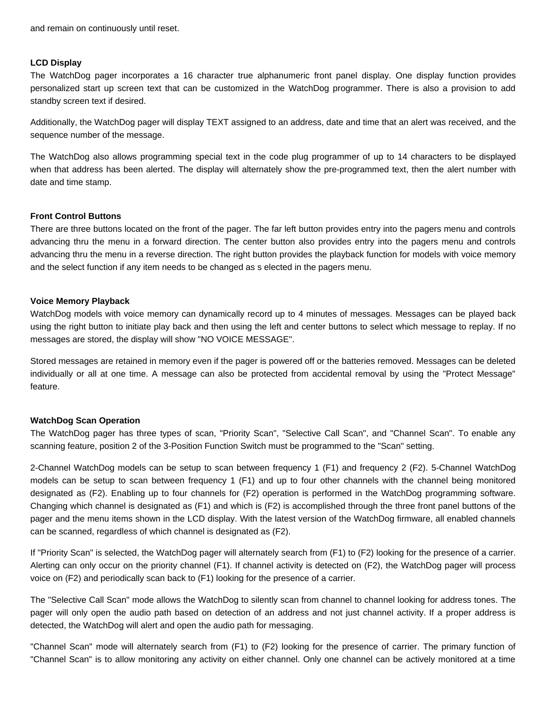#### **LCD Display**

The WatchDog pager incorporates a 16 character true alphanumeric front panel display. One display function provides personalized start up screen text that can be customized in the WatchDog programmer. There is also a provision to add standby screen text if desired.

Additionally, the WatchDog pager will display TEXT assigned to an address, date and time that an alert was received, and the sequence number of the message.

The WatchDog also allows programming special text in the code plug programmer of up to 14 characters to be displayed when that address has been alerted. The display will alternately show the pre-programmed text, then the alert number with date and time stamp.

## **Front Control Buttons**

There are three buttons located on the front of the pager. The far left button provides entry into the pagers menu and controls advancing thru the menu in a forward direction. The center button also provides entry into the pagers menu and controls advancing thru the menu in a reverse direction. The right button provides the playback function for models with voice memory and the select function if any item needs to be changed as s elected in the pagers menu.

## **Voice Memory Playback**

WatchDog models with voice memory can dynamically record up to 4 minutes of messages. Messages can be played back using the right button to initiate play back and then using the left and center buttons to select which message to replay. If no messages are stored, the display will show "NO VOICE MESSAGE".

Stored messages are retained in memory even if the pager is powered off or the batteries removed. Messages can be deleted individually or all at one time. A message can also be protected from accidental removal by using the "Protect Message" feature.

# **WatchDog Scan Operation**

The WatchDog pager has three types of scan, "Priority Scan", "Selective Call Scan", and "Channel Scan". To enable any scanning feature, position 2 of the 3-Position Function Switch must be programmed to the "Scan" setting.

2-Channel WatchDog models can be setup to scan between frequency 1 (F1) and frequency 2 (F2). 5-Channel WatchDog models can be setup to scan between frequency 1 (F1) and up to four other channels with the channel being monitored designated as (F2). Enabling up to four channels for (F2) operation is performed in the WatchDog programming software. Changing which channel is designated as (F1) and which is (F2) is accomplished through the three front panel buttons of the pager and the menu items shown in the LCD display. With the latest version of the WatchDog firmware, all enabled channels can be scanned, regardless of which channel is designated as (F2).

If "Priority Scan" is selected, the WatchDog pager will alternately search from (F1) to (F2) looking for the presence of a carrier. Alerting can only occur on the priority channel (F1). If channel activity is detected on (F2), the WatchDog pager will process voice on (F2) and periodically scan back to (F1) looking for the presence of a carrier.

The "Selective Call Scan" mode allows the WatchDog to silently scan from channel to channel looking for address tones. The pager will only open the audio path based on detection of an address and not just channel activity. If a proper address is detected, the WatchDog will alert and open the audio path for messaging.

"Channel Scan" mode will alternately search from (F1) to (F2) looking for the presence of carrier. The primary function of "Channel Scan" is to allow monitoring any activity on either channel. Only one channel can be actively monitored at a time